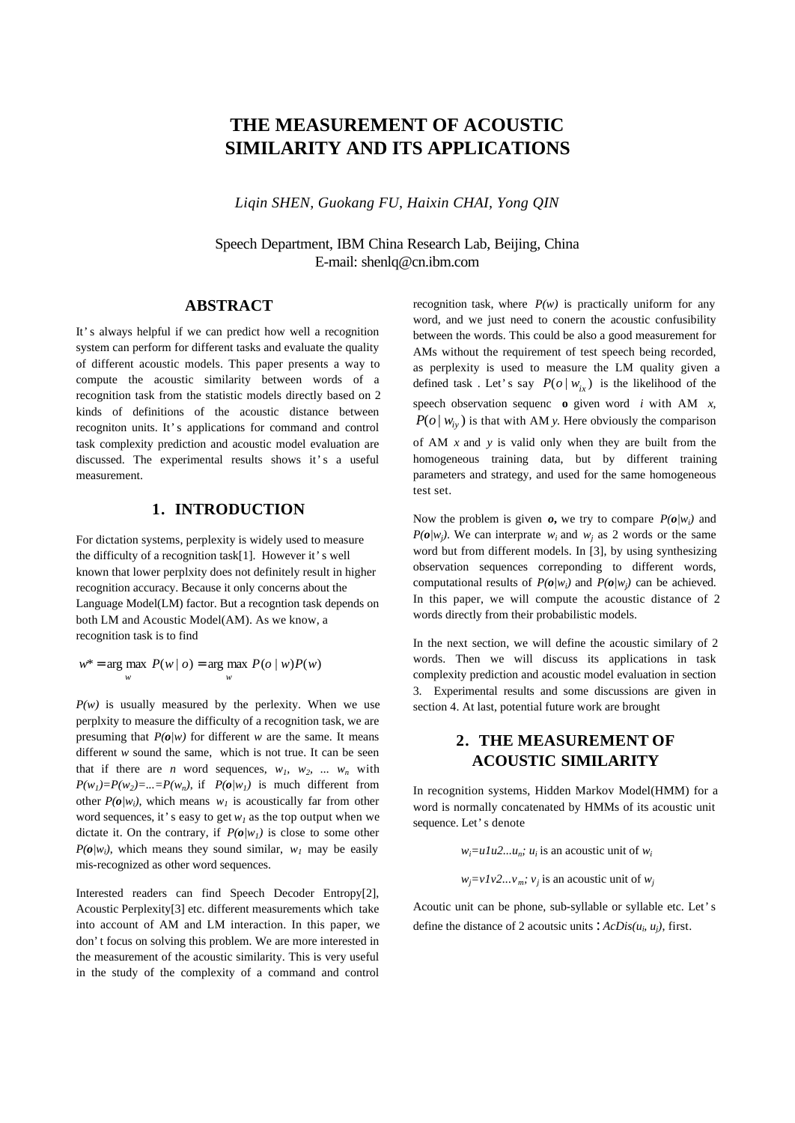# **THE MEASUREMENT OF ACOUSTIC SIMILARITY AND ITS APPLICATIONS**

*Liqin SHEN, Guokang FU, Haixin CHAI, Yong QIN*

Speech Department, IBM China Research Lab, Beijing, China E-mail: shenlq@cn.ibm.com

#### **ABSTRACT**

It's always helpful if we can predict how well a recognition system can perform for different tasks and evaluate the quality of different acoustic models. This paper presents a way to compute the acoustic similarity between words of a recognition task from the statistic models directly based on 2 kinds of definitions of the acoustic distance between recogniton units. It's applications for command and control task complexity prediction and acoustic model evaluation are discussed. The experimental results shows it's a useful measurement.

#### **1. INTRODUCTION**

For dictation systems, perplexity is widely used to measure the difficulty of a recognition task[1]. However it's well known that lower perplxity does not definitely result in higher recognition accuracy. Because it only concerns about the Language Model(LM) factor. But a recogntion task depends on both LM and Acoustic Model(AM). As we know, a recognition task is to find

 $w^*$  = arg max  $P(w | o)$  = arg max  $P(o | w)P(w)$ *w w*

 $P(w)$  is usually measured by the perlexity. When we use perplxity to measure the difficulty of a recognition task, we are presuming that  $P(o/w)$  for different *w* are the same. It means different *w* sound the same, which is not true. It can be seen that if there are *n* word sequences,  $w_1$ ,  $w_2$ , ...  $w_n$  with  $P(w_1)=P(w_2)=...=P(w_n)$ , if  $P(o/w_1)$  is much different from other  $P(o/w_i)$ , which means  $w_i$  is acoustically far from other word sequences, it's easy to get  $w_l$  as the top output when we dictate it. On the contrary, if  $P(o|w_1)$  is close to some other  $P(o/w_i)$ , which means they sound similar,  $w_i$  may be easily mis-recognized as other word sequences.

Interested readers can find Speech Decoder Entropy[2], Acoustic Perplexity[3] etc. different measurements which take into account of AM and LM interaction. In this paper, we don't focus on solving this problem. We are more interested in the measurement of the acoustic similarity. This is very useful in the study of the complexity of a command and control

recognition task, where  $P(w)$  is practically uniform for any word, and we just need to conern the acoustic confusibility between the words. This could be also a good measurement for AMs without the requirement of test speech being recorded, as perplexity is used to measure the LM quality given a defined task . Let's say  $P(o | w_i)$  is the likelihood of the speech observation sequenc **o** given word *i* with AM *x*,  $P(o | w_i)$  is that with AM *y*. Here obviously the comparison of AM *x* and *y* is valid only when they are built from the homogeneous training data, but by different training parameters and strategy, and used for the same homogeneous test set.

Now the problem is given  $o$ , we try to compare  $P(o/w_i)$  and *P(* $o/w_j$ *)*. We can interprate  $w_i$  and  $w_j$  as 2 words or the same word but from different models. In [3], by using synthesizing observation sequences correponding to different words, computational results of  $P(o/w_i)$  and  $P(o/w_j)$  can be achieved. In this paper, we will compute the acoustic distance of 2 words directly from their probabilistic models.

In the next section, we will define the acoustic similary of 2 words. Then we will discuss its applications in task complexity prediction and acoustic model evaluation in section 3. Experimental results and some discussions are given in section 4. At last, potential future work are brought

## **2. THE MEASUREMENT OF ACOUSTIC SIMILARITY**

In recognition systems, Hidden Markov Model(HMM) for a word is normally concatenated by HMMs of its acoustic unit sequence. Let's denote

 $w_i = u1u2...u_n$ ;  $u_i$  is an acoustic unit of  $w_i$ 

 $w_j = vIv2...v_m$ ;  $v_j$  is an acoustic unit of  $w_j$ 

Acoutic unit can be phone, sub-syllable or syllable etc. Let's define the distance of 2 acoutsic units :  $ACDis(u_i, u_j)$ , first.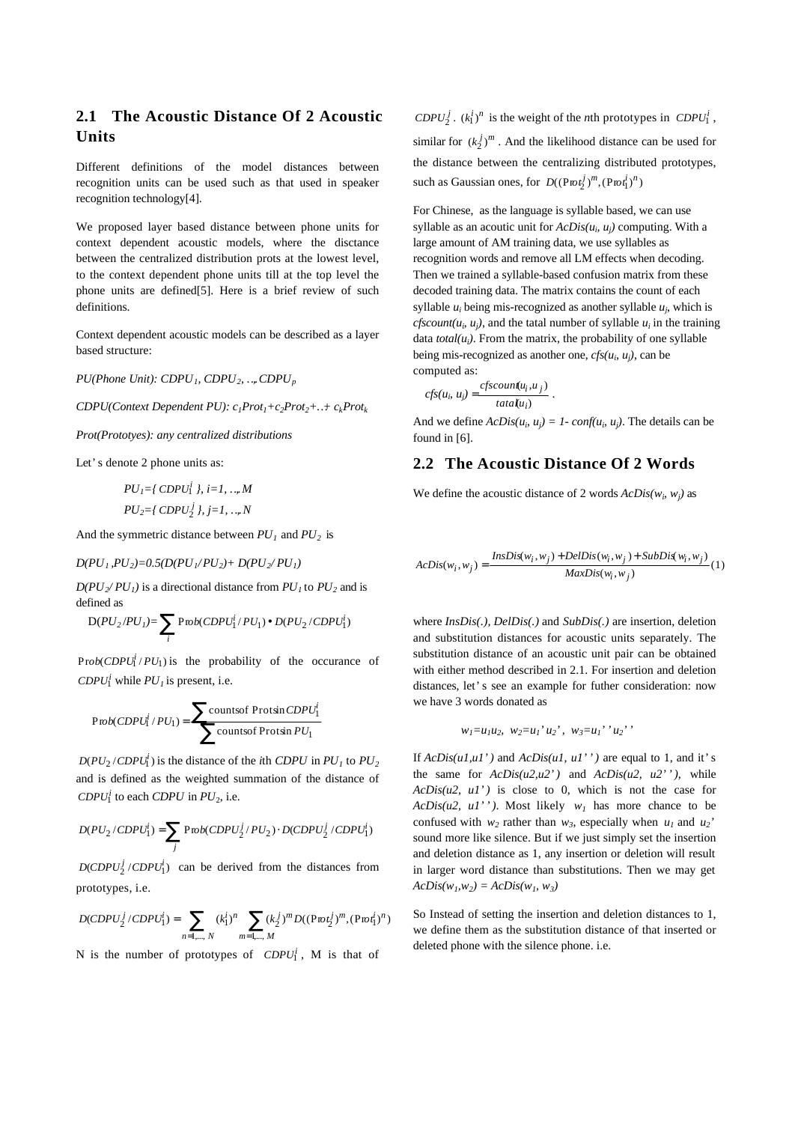## **2.1 The Acoustic Distance Of 2 Acoustic Units**

Different definitions of the model distances between recognition units can be used such as that used in speaker recognition technology[4].

We proposed layer based distance between phone units for context dependent acoustic models, where the disctance between the centralized distribution prots at the lowest level, to the context dependent phone units till at the top level the phone units are defined[5]. Here is a brief review of such definitions.

Context dependent acoustic models can be described as a layer based structure:

*PU(Phone Unit): CDPU1, CDPU2, …, CDPU<sup>p</sup>*

*CDPU(Context Dependent PU): c1Prot1+c2Prot2+…+ ckProt<sup>k</sup>*

*Prot(Prototyes): any centralized distributions*

Let's denote 2 phone units as:

$$
PUI = \{ CDPU1i \}, i = 1, ..., M
$$

$$
PU2 = \{ CDPU2j \}, j = 1, ..., N
$$

And the symmetric distance between  $PU_1$  and  $PU_2$  is

 $D(PU_1, PU_2) = 0.5(D(PU_1/PU_2) + D(PU_2/PU_1)$ 

 $D(PU_2/PU_1)$  is a directional distance from  $PU_1$  to  $PU_2$  and is defined as

$$
D(PU_2/PU_1) = \sum_i Prob(CDPU_1^i/PU_1) \bullet D(PU_2/CDPU_1^i)
$$

 $Prob(CDPU_1^i / PU_1)$  is the probability of the occurance of *CDPU*<sup> $i$ </sup> while *PU*<sub>*i*</sub> is present, i.e.

$$
Prob(CDPU_1^i / PU_1) = \sum \text{counts of Protsin } CDPU_1^i
$$
  
countsof Protsin  $PU_1$ 

 $D(PU_2 / CDPU_1^i)$  is the distance of the *i*th *CDPU* in  $PU_1$  to  $PU_2$ and is defined as the weighted summation of the distance of *CDPU*<sup> $i$ </sup> to each *CDPU* in *PU*<sub>2</sub>, i.e.

$$
D(PU_2 / CDPU_1^i) = \sum_j \text{Prob}(CDPU_2^j / PU_2) \cdot D(CDPU_2^j / CDPU_1^i)
$$

 $D(CDPU_2^j / CDPU_1^i)$  can be derived from the distances from prototypes, i.e.

$$
D(CDPU_2^j / CDPU_1^i) = \sum_{n=1,\dots,N} (k_1^i)^n \sum_{m=1,\dots,M} (k_2^j)^m D((Pw t_2^j)^m, (Pw t_1^j)^n)
$$

N is the number of prototypes of  $CDPU_1^i$ , M is that of

*CDPU*<sub>2</sub><sup>*j*</sup> .  $(k_1^i)^n$  is the weight of the *n*th prototypes in *CDPU*<sup>*i*</sup><sub>1</sub>, similar for  $(k_2^j)^m$ . And the likelihood distance can be used for the distance between the centralizing distributed prototypes,

such as Gaussian ones, for  $D((P \omega t_2^j)^m, (P \omega t_1^i)^n)$ 

For Chinese, as the language is syllable based, we can use syllable as an acoutic unit for  $AcDis(u_i, u_j)$  computing. With a large amount of AM training data, we use syllables as recognition words and remove all LM effects when decoding. Then we trained a syllable-based confusion matrix from these decoded training data. The matrix contains the count of each syllable  $u_i$  being mis-recognized as another syllable  $u_j$ , which is *cfscount*( $u_i$ ,  $u_j$ ), and the tatal number of syllable  $u_i$  in the training data *total(u<sup>i</sup> )*. From the matrix, the probability of one syllable being mis-recognized as another one,  $cfs(u_i, u_j)$ , can be computed as:

$$
cfs(u_i, u_j) = \frac{cfscount(u_i, u_j)}{tata(u_i)}.
$$

And we define  $AcDis(u_i, u_j) = 1$ -  $conf(u_i, u_j)$ . The details can be found in [6].

### **2.2 The Acoustic Distance Of 2 Words**

We define the acoustic distance of 2 words  $AcDis(w_i, w_j)$  as

$$
ACDis(w_i, w_j) = \frac{InsDis(w_i, w_j) + DelDis(w_i, w_j) + SubDis(w_i, w_j)}{MaxDis(w_i, w_j)} (1)
$$

where *InsDis(.), DelDis(.)* and *SubDis(.)* are insertion, deletion and substitution distances for acoustic units separately. The substitution distance of an acoustic unit pair can be obtained with either method described in 2.1. For insertion and deletion distances, let's see an example for futher consideration: now we have 3 words donated as

$$
w_1 = u_1 u_2, w_2 = u_1' u_2', w_3 = u_1' u_2'
$$

If *AcDis(u1,u1')* and *AcDis(u1, u1'')* are equal to 1, and it's the same for *AcDis(u2,u2')* and *AcDis(u2, u2'')*, while *AcDis(u2, u1')* is close to 0, which is not the case for *AcDis(u2, u1'')*. Most likely  $w_l$  has more chance to be confused with  $w_2$  rather than  $w_3$ , especially when  $u_1$  and  $u_2$ <sup>'</sup> sound more like silence. But if we just simply set the insertion and deletion distance as 1, any insertion or deletion will result in larger word distance than substitutions. Then we may get  $ACDis(w_1, w_2) = AcDis(w_1, w_3)$ 

So Instead of setting the insertion and deletion distances to 1, we define them as the substitution distance of that inserted or deleted phone with the silence phone. i.e.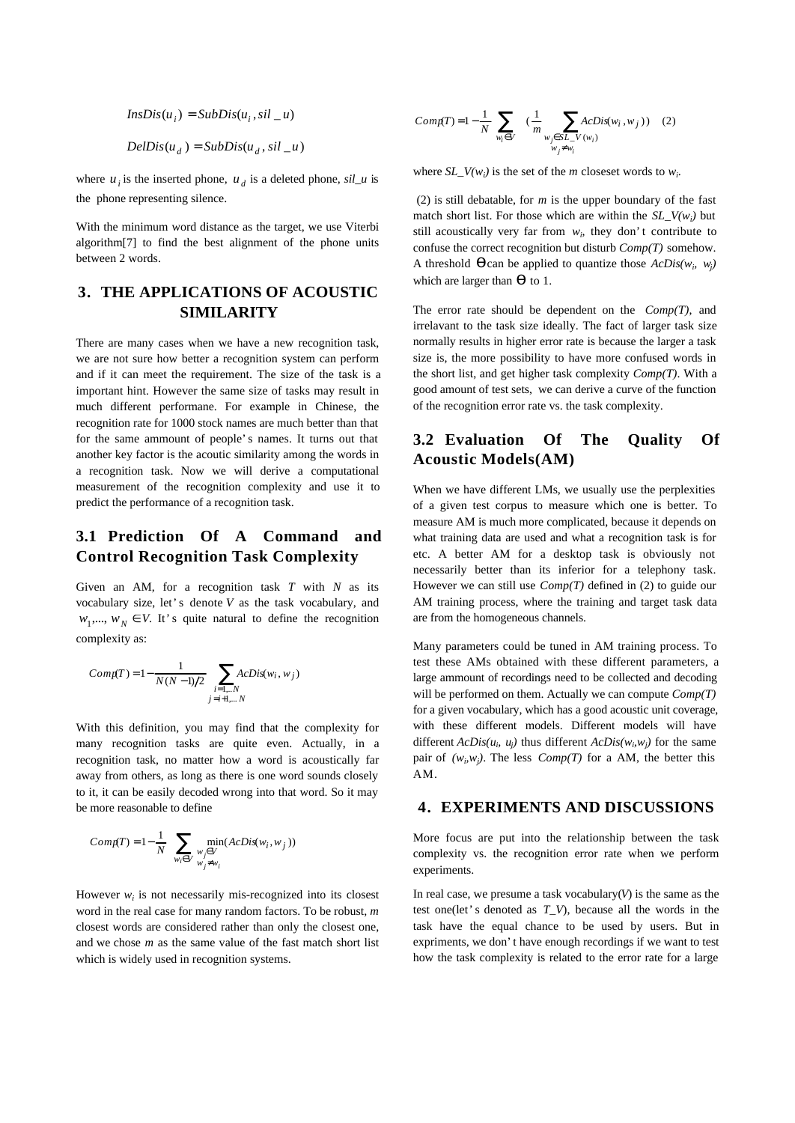$InsDis(u_i) = SubDis(u_i, sil_u)$  $DelDis(u_d) = SubDis(u_d, sil_u)$ 

where  $u_i$  is the inserted phone,  $u_d$  is a deleted phone,  $sil_u$  is the phone representing silence.

With the minimum word distance as the target, we use Viterbi algorithm[7] to find the best alignment of the phone units between 2 words.

### **3. THE APPLICATIONS OF ACOUSTIC SIMILARITY**

There are many cases when we have a new recognition task, we are not sure how better a recognition system can perform and if it can meet the requirement. The size of the task is a important hint. However the same size of tasks may result in much different performane. For example in Chinese, the recognition rate for 1000 stock names are much better than that for the same ammount of people's names. It turns out that another key factor is the acoutic similarity among the words in a recognition task. Now we will derive a computational measurement of the recognition complexity and use it to predict the performance of a recognition task.

## **3.1 Prediction Of A Command and Control Recognition Task Complexity**

Given an AM, for a recognition task *T* with *N* as its vocabulary size, let's denote *V* as the task vocabulary, and  $w_1, \dots, w_N \in V$ . It's quite natural to define the recognition complexity as:

$$
Comp(T) = 1 - \frac{1}{N(N-1)/2} \sum_{\substack{i=1...N \ j=i+1,...N}} AcDis(w_i, w_j)
$$

With this definition, you may find that the complexity for many recognition tasks are quite even. Actually, in a recognition task, no matter how a word is acoustically far away from others, as long as there is one word sounds closely to it, it can be easily decoded wrong into that word. So it may be more reasonable to define

$$
Comp(T) = 1 - \frac{1}{N} \sum_{w_i \in V} \min_{\substack{w_j \in V \\ w_j \neq w_i}} (AcDis(w_i, w_j))
$$

However  $w_i$  is not necessarily mis-recognized into its closest word in the real case for many random factors. To be robust, *m* closest words are considered rather than only the closest one, and we chose *m* as the same value of the fast match short list which is widely used in recognition systems.

$$
Comp(T) = 1 - \frac{1}{N} \sum_{w_i \in V} (\frac{1}{m} \sum_{\substack{w_j \in SL\_V(w_i) \\ w_j \neq w_i}} AcDis(w_i, w_j))
$$
 (2)

where  $SL_V(w_i)$  is the set of the *m* closeset words to  $w_i$ .

 (2) is still debatable, for *m* is the upper boundary of the fast match short list. For those which are within the  $SL_{\mathcal{L}}(w_i)$  but still acoustically very far from  $w_i$ , they don't contribute to confuse the correct recognition but disturb *Comp(T)* somehow. A threshold  $\boldsymbol{q}$  can be applied to quantize those  $AcDis(w_i, w_j)$ which are larger than *q* to 1.

The error rate should be dependent on the *Comp(T)*, and irrelavant to the task size ideally. The fact of larger task size normally results in higher error rate is because the larger a task size is, the more possibility to have more confused words in the short list, and get higher task complexity *Comp(T)*. With a good amount of test sets, we can derive a curve of the function of the recognition error rate vs. the task complexity.

### **3.2 Evaluation Of The Quality Of Acoustic Models(AM)**

When we have different LMs, we usually use the perplexities of a given test corpus to measure which one is better. To measure AM is much more complicated, because it depends on what training data are used and what a recognition task is for etc. A better AM for a desktop task is obviously not necessarily better than its inferior for a telephony task. However we can still use *Comp(T)* defined in (2) to guide our AM training process, where the training and target task data are from the homogeneous channels.

Many parameters could be tuned in AM training process. To test these AMs obtained with these different parameters, a large ammount of recordings need to be collected and decoding will be performed on them. Actually we can compute *Comp(T)* for a given vocabulary, which has a good acoustic unit coverage, with these different models. Different models will have different  $AcDis(u_i, u_j)$  thus different  $AcDis(w_i, w_j)$  for the same pair of  $(w_i, w_j)$ . The less *Comp(T)* for a AM, the better this AM.

#### **4. EXPERIMENTS AND DISCUSSIONS**

More focus are put into the relationship between the task complexity vs. the recognition error rate when we perform experiments.

In real case, we presume a task vocabulary $(V)$  is the same as the test one(let's denoted as *T\_V*), because all the words in the task have the equal chance to be used by users. But in expriments, we don't have enough recordings if we want to test how the task complexity is related to the error rate for a large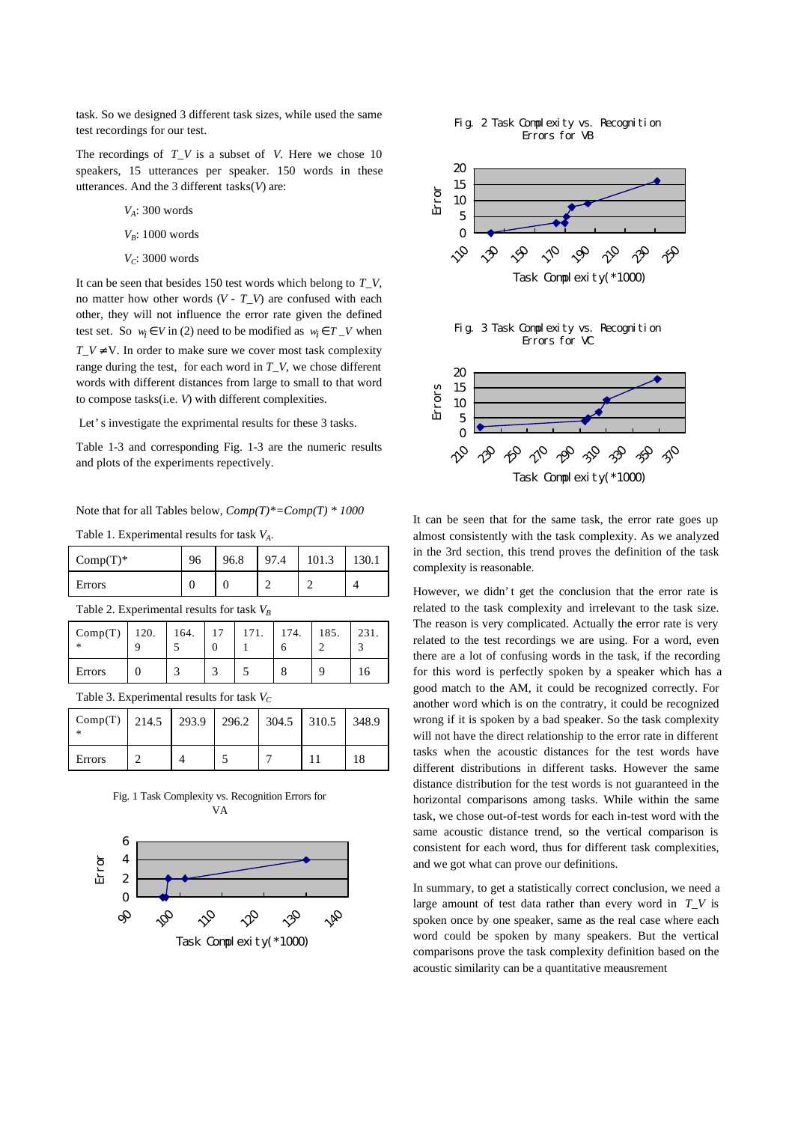task. So we designed 3 different task sizes, while used the same test recordings for our test.

The recordings of *T\_V* is a subset of *V*. Here we chose 10 speakers, 15 utterances per speaker. 150 words in these utterances. And the 3 different tasks(*V*) are:

- *VA*: 300 words
- *V<sub>B</sub>*: 1000 words
- *VC*: 3000 words

It can be seen that besides 150 test words which belong to *T\_V*, no matter how other words (*V* - *T\_V*) are confused with each other, they will not influence the error rate given the defined test set. So  $w_i \in V$  in (2) need to be modified as  $w_i \in T_V$  when  $T_V \neq V$ . In order to make sure we cover most task complexity range during the test, for each word in *T\_V*, we chose different words with different distances from large to small to that word to compose tasks(i.e. *V*) with different complexities.

Let's investigate the exprimental results for these 3 tasks.

Table 1-3 and corresponding Fig. 1-3 are the numeric results and plots of the experiments repectively.

Note that for all Tables below, *Comp(T)\*=Comp(T) \* 1000*

Table 1. Experimental results for task *VA.*

| $Comp(T)^*$                                  |  | 96.8 | 97.4 | 101.3 |  |  |  |  |
|----------------------------------------------|--|------|------|-------|--|--|--|--|
| Errors                                       |  |      |      |       |  |  |  |  |
| Table 2. Experimental results for task $V_p$ |  |      |      |       |  |  |  |  |

| Comp(T)   120.   164.   17   171.   174.  <br>$\ast$ |  |  |  |  |  | 185. | 231. |  |
|------------------------------------------------------|--|--|--|--|--|------|------|--|
| Errors                                               |  |  |  |  |  |      |      |  |
| Table 3. Experimental results for task $V_c$         |  |  |  |  |  |      |      |  |

| Comp(T)   214.5   293.9   296.2   304.5   310.5   348.9 |  |  |  |
|---------------------------------------------------------|--|--|--|
| Errors                                                  |  |  |  |









It can be seen that for the same task, the error rate goes up almost consistently with the task complexity. As we analyzed in the 3rd section, this trend proves the definition of the task complexity is reasonable.

However, we didn't get the conclusion that the error rate is related to the task complexity and irrelevant to the task size. The reason is very complicated. Actually the error rate is very related to the test recordings we are using. For a word, even there are a lot of confusing words in the task, if the recording for this word is perfectly spoken by a speaker which has a good match to the AM, it could be recognized correctly. For another word which is on the contratry, it could be recognized wrong if it is spoken by a bad speaker. So the task complexity will not have the direct relationship to the error rate in different tasks when the acoustic distances for the test words have different distributions in different tasks. However the same distance distribution for the test words is not guaranteed in the horizontal comparisons among tasks. While within the same task, we chose out-of-test words for each in-test word with the same acoustic distance trend, so the vertical comparison is consistent for each word, thus for different task complexities, and we got what can prove our definitions.

In summary, to get a statistically correct conclusion, we need a large amount of test data rather than every word in *T\_V* is spoken once by one speaker, same as the real case where each word could be spoken by many speakers. But the vertical comparisons prove the task complexity definition based on the acoustic similarity can be a quantitative meausrement